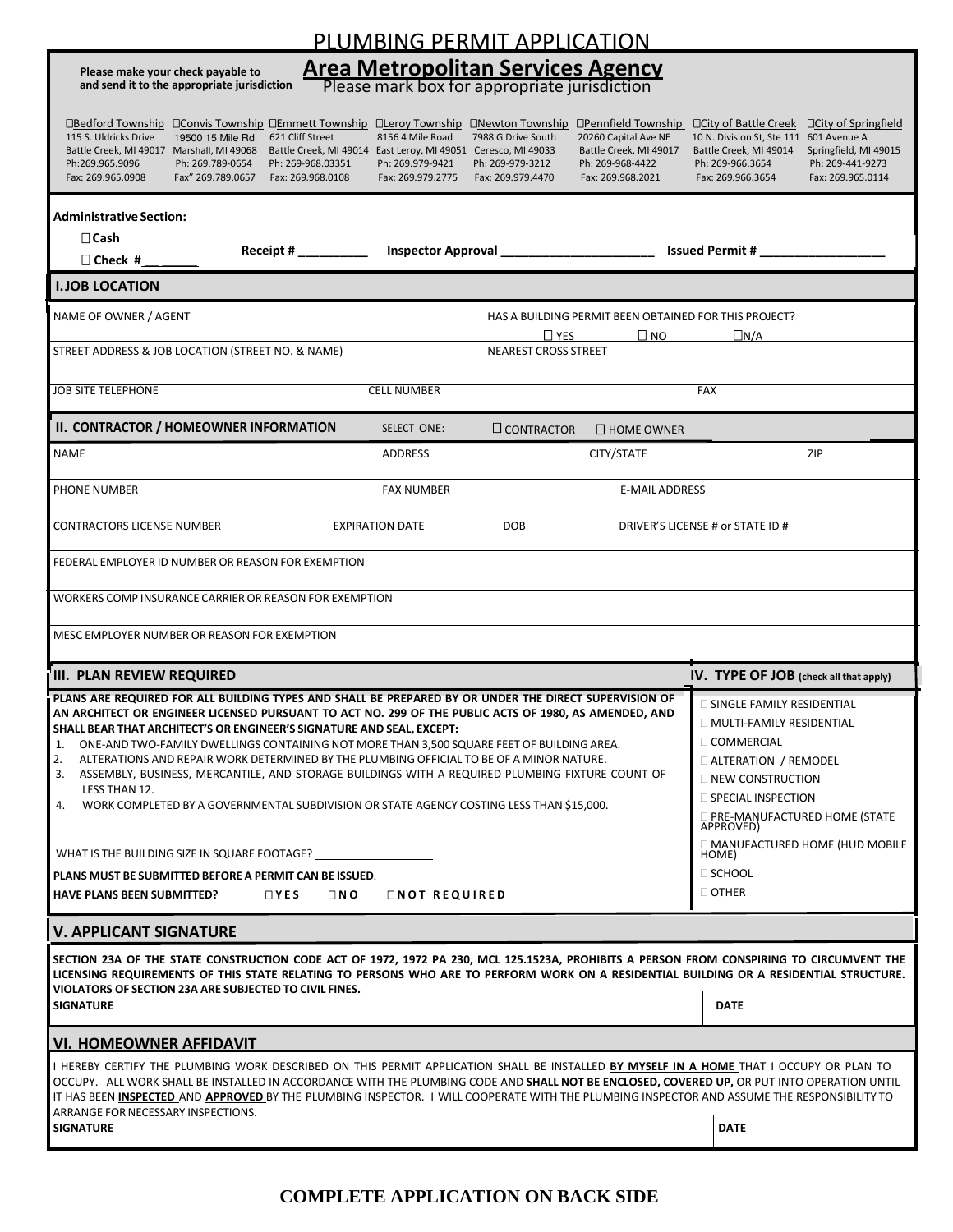| PLUMBING PERMIT APPLICATION                                                                                                                                                                                                                                                                                                                                                                                                                                                              |                                                                                                                                                                                                                                                                                                                                                                                      |                                                                                                                                                                                                        |                                                                                                                            |                                                                                                                                                            |                                                                                                                                       |                                                                                               |                                                                                                         |  |  |  |
|------------------------------------------------------------------------------------------------------------------------------------------------------------------------------------------------------------------------------------------------------------------------------------------------------------------------------------------------------------------------------------------------------------------------------------------------------------------------------------------|--------------------------------------------------------------------------------------------------------------------------------------------------------------------------------------------------------------------------------------------------------------------------------------------------------------------------------------------------------------------------------------|--------------------------------------------------------------------------------------------------------------------------------------------------------------------------------------------------------|----------------------------------------------------------------------------------------------------------------------------|------------------------------------------------------------------------------------------------------------------------------------------------------------|---------------------------------------------------------------------------------------------------------------------------------------|-----------------------------------------------------------------------------------------------|---------------------------------------------------------------------------------------------------------|--|--|--|
| <b>Area Metropolitan Services Agency</b><br>Please make your check payable to<br>and send it to the appropriate jurisdiction<br>Please mark box for appropriate jurisdiction                                                                                                                                                                                                                                                                                                             |                                                                                                                                                                                                                                                                                                                                                                                      |                                                                                                                                                                                                        |                                                                                                                            |                                                                                                                                                            |                                                                                                                                       |                                                                                               |                                                                                                         |  |  |  |
| 115 S. Uldricks Drive<br>Battle Creek, MI 49017 Marshall, MI 49068<br>Ph:269.965.9096<br>Fax: 269.965.0908                                                                                                                                                                                                                                                                                                                                                                               | 19500 15 Mile Rd<br>Ph: 269.789-0654<br>Fax" 269.789.0657                                                                                                                                                                                                                                                                                                                            | 621 Cliff Street<br>Ph: 269-968.03351<br>Fax: 269.968.0108                                                                                                                                             | 8156 4 Mile Road<br>Battle Creek, MI 49014 East Leroy, MI 49051 Ceresco, MI 49033<br>Ph: 269.979-9421<br>Fax: 269.979.2775 | <b>OBedford Township OConvis Township OEmmett Township OLeroy Township ONewton Township</b><br>7988 G Drive South<br>Ph: 269-979-3212<br>Fax: 269.979.4470 | □Pennfield Township □ City of Battle Creek<br>20260 Capital Ave NE<br>Battle Creek, MI 49017<br>Ph: 269-968-4422<br>Fax: 269.968.2021 | 10 N. Division St. Ste 111<br>Battle Creek, MI 49014<br>Ph: 269-966.3654<br>Fax: 269.966.3654 | □ City of Springfield<br>601 Avenue A<br>Springfield, MI 49015<br>Ph: 269-441-9273<br>Fax: 269.965.0114 |  |  |  |
| <b>Administrative Section:</b><br>$\Box$ Cash<br>$\Box$ Check #                                                                                                                                                                                                                                                                                                                                                                                                                          |                                                                                                                                                                                                                                                                                                                                                                                      | Receipt # _________                                                                                                                                                                                    |                                                                                                                            |                                                                                                                                                            | Inspector Approval ___________________________ Issued Permit # _________________                                                      |                                                                                               |                                                                                                         |  |  |  |
| <b>I. JOB LOCATION</b>                                                                                                                                                                                                                                                                                                                                                                                                                                                                   |                                                                                                                                                                                                                                                                                                                                                                                      |                                                                                                                                                                                                        |                                                                                                                            |                                                                                                                                                            |                                                                                                                                       |                                                                                               |                                                                                                         |  |  |  |
| NAME OF OWNER / AGENT                                                                                                                                                                                                                                                                                                                                                                                                                                                                    | HAS A BUILDING PERMIT BEEN OBTAINED FOR THIS PROJECT?<br>$\Box N/A$                                                                                                                                                                                                                                                                                                                  |                                                                                                                                                                                                        |                                                                                                                            |                                                                                                                                                            |                                                                                                                                       |                                                                                               |                                                                                                         |  |  |  |
| STREET ADDRESS & JOB LOCATION (STREET NO. & NAME)                                                                                                                                                                                                                                                                                                                                                                                                                                        |                                                                                                                                                                                                                                                                                                                                                                                      |                                                                                                                                                                                                        |                                                                                                                            | <b>NEAREST CROSS STREET</b>                                                                                                                                |                                                                                                                                       |                                                                                               |                                                                                                         |  |  |  |
| <b>JOB SITE TELEPHONE</b>                                                                                                                                                                                                                                                                                                                                                                                                                                                                |                                                                                                                                                                                                                                                                                                                                                                                      |                                                                                                                                                                                                        | <b>CELL NUMBER</b>                                                                                                         |                                                                                                                                                            |                                                                                                                                       | <b>FAX</b>                                                                                    |                                                                                                         |  |  |  |
| II. CONTRACTOR / HOMEOWNER INFORMATION                                                                                                                                                                                                                                                                                                                                                                                                                                                   |                                                                                                                                                                                                                                                                                                                                                                                      |                                                                                                                                                                                                        | SELECT ONE:                                                                                                                | $\square$ CONTRACTOR                                                                                                                                       | $\square$ HOME OWNER                                                                                                                  |                                                                                               |                                                                                                         |  |  |  |
| <b>NAME</b>                                                                                                                                                                                                                                                                                                                                                                                                                                                                              |                                                                                                                                                                                                                                                                                                                                                                                      |                                                                                                                                                                                                        | <b>ADDRESS</b>                                                                                                             |                                                                                                                                                            | CITY/STATE                                                                                                                            |                                                                                               | ZIP                                                                                                     |  |  |  |
| PHONE NUMBER                                                                                                                                                                                                                                                                                                                                                                                                                                                                             |                                                                                                                                                                                                                                                                                                                                                                                      |                                                                                                                                                                                                        | <b>FAX NUMBER</b>                                                                                                          |                                                                                                                                                            | <b>E-MAIL ADDRESS</b>                                                                                                                 |                                                                                               |                                                                                                         |  |  |  |
| <b>CONTRACTORS LICENSE NUMBER</b>                                                                                                                                                                                                                                                                                                                                                                                                                                                        |                                                                                                                                                                                                                                                                                                                                                                                      | DRIVER'S LICENSE # or STATE ID #                                                                                                                                                                       |                                                                                                                            |                                                                                                                                                            |                                                                                                                                       |                                                                                               |                                                                                                         |  |  |  |
| FEDERAL EMPLOYER ID NUMBER OR REASON FOR EXEMPTION                                                                                                                                                                                                                                                                                                                                                                                                                                       |                                                                                                                                                                                                                                                                                                                                                                                      |                                                                                                                                                                                                        |                                                                                                                            |                                                                                                                                                            |                                                                                                                                       |                                                                                               |                                                                                                         |  |  |  |
| WORKERS COMP INSURANCE CARRIER OR REASON FOR EXEMPTION                                                                                                                                                                                                                                                                                                                                                                                                                                   |                                                                                                                                                                                                                                                                                                                                                                                      |                                                                                                                                                                                                        |                                                                                                                            |                                                                                                                                                            |                                                                                                                                       |                                                                                               |                                                                                                         |  |  |  |
| MESC EMPLOYER NUMBER OR REASON FOR EXEMPTION                                                                                                                                                                                                                                                                                                                                                                                                                                             |                                                                                                                                                                                                                                                                                                                                                                                      |                                                                                                                                                                                                        |                                                                                                                            |                                                                                                                                                            |                                                                                                                                       |                                                                                               |                                                                                                         |  |  |  |
| <b>III. PLAN REVIEW REQUIRED</b>                                                                                                                                                                                                                                                                                                                                                                                                                                                         |                                                                                                                                                                                                                                                                                                                                                                                      |                                                                                                                                                                                                        |                                                                                                                            |                                                                                                                                                            |                                                                                                                                       | IV. TYPE OF JOB (check all that apply)                                                        |                                                                                                         |  |  |  |
| PLANS ARE REQUIRED FOR ALL BUILDING TYPES AND SHALL BE PREPARED BY OR UNDER THE DIRECT SUPERVISION OF<br>AN ARCHITECT OR ENGINEER LICENSED PURSUANT TO ACT NO. 299 OF THE PUBLIC ACTS OF 1980, AS AMENDED, AND<br>SHALL BEAR THAT ARCHITECT'S OR ENGINEER'S SIGNATURE AND SEAL, EXCEPT:<br>1.<br>2.<br>3.<br>LESS THAN 12.<br>4.                                                                                                                                                         | ONE-AND TWO-FAMILY DWELLINGS CONTAINING NOT MORE THAN 3,500 SQUARE FEET OF BUILDING AREA.<br>ALTERATIONS AND REPAIR WORK DETERMINED BY THE PLUMBING OFFICIAL TO BE OF A MINOR NATURE.<br>ASSEMBLY, BUSINESS, MERCANTILE, AND STORAGE BUILDINGS WITH A REQUIRED PLUMBING FIXTURE COUNT OF<br>WORK COMPLETED BY A GOVERNMENTAL SUBDIVISION OR STATE AGENCY COSTING LESS THAN \$15,000. | SINGLE FAMILY RESIDENTIAL<br>□ MULTI-FAMILY RESIDENTIAL<br>□ COMMERCIAL<br>ALTERATION / REMODEL<br>$\Box$ NEW CONSTRUCTION<br>$\Box$ SPECIAL INSPECTION<br>□ PRE-MANUFACTURED HOME (STATE<br>APPROVED) |                                                                                                                            |                                                                                                                                                            |                                                                                                                                       |                                                                                               |                                                                                                         |  |  |  |
| WHAT IS THE BUILDING SIZE IN SQUARE FOOTAGE?                                                                                                                                                                                                                                                                                                                                                                                                                                             |                                                                                                                                                                                                                                                                                                                                                                                      | □ MANUFACTURED HOME (HUD MOBILE<br>HOME)                                                                                                                                                               |                                                                                                                            |                                                                                                                                                            |                                                                                                                                       |                                                                                               |                                                                                                         |  |  |  |
| PLANS MUST BE SUBMITTED BEFORE A PERMIT CAN BE ISSUED.<br><b>HAVE PLANS BEEN SUBMITTED?</b>                                                                                                                                                                                                                                                                                                                                                                                              | $\Box$ Y E S                                                                                                                                                                                                                                                                                                                                                                         | □ SCHOOL<br>$\Box$ OTHER                                                                                                                                                                               |                                                                                                                            |                                                                                                                                                            |                                                                                                                                       |                                                                                               |                                                                                                         |  |  |  |
|                                                                                                                                                                                                                                                                                                                                                                                                                                                                                          | <b>V. APPLICANT SIGNATURE</b>                                                                                                                                                                                                                                                                                                                                                        |                                                                                                                                                                                                        |                                                                                                                            |                                                                                                                                                            |                                                                                                                                       |                                                                                               |                                                                                                         |  |  |  |
|                                                                                                                                                                                                                                                                                                                                                                                                                                                                                          | SECTION 23A OF THE STATE CONSTRUCTION CODE ACT OF 1972, 1972 PA 230, MCL 125.1523A, PROHIBITS A PERSON FROM CONSPIRING TO CIRCUMVENT THE<br>LICENSING REQUIREMENTS OF THIS STATE RELATING TO PERSONS WHO ARE TO PERFORM WORK ON A RESIDENTIAL BUILDING OR A RESIDENTIAL STRUCTURE.<br><u>VIOLATORS OF SECTION 23A ARE SUBJECTED TO CIVIL FINES.</u>                                  |                                                                                                                                                                                                        |                                                                                                                            |                                                                                                                                                            |                                                                                                                                       |                                                                                               |                                                                                                         |  |  |  |
| <b>SIGNATURE</b>                                                                                                                                                                                                                                                                                                                                                                                                                                                                         |                                                                                                                                                                                                                                                                                                                                                                                      |                                                                                                                                                                                                        |                                                                                                                            |                                                                                                                                                            |                                                                                                                                       | <b>DATE</b>                                                                                   |                                                                                                         |  |  |  |
| <u>l VI. HOMEOWNER AFFIDAVIT</u>                                                                                                                                                                                                                                                                                                                                                                                                                                                         |                                                                                                                                                                                                                                                                                                                                                                                      |                                                                                                                                                                                                        |                                                                                                                            |                                                                                                                                                            |                                                                                                                                       |                                                                                               |                                                                                                         |  |  |  |
| I HEREBY CERTIFY THE PLUMBING WORK DESCRIBED ON THIS PERMIT APPLICATION SHALL BE INSTALLED <mark>BY MYSELF IN A HOME</mark> THAT I OCCUPY OR PLAN TO<br>OCCUPY. ALL WORK SHALL BE INSTALLED IN ACCORDANCE WITH THE PLUMBING CODE AND SHALL NOT BE ENCLOSED, COVERED UP, OR PUT INTO OPERATION UNTIL<br>IT HAS BEEN INSPECTED AND APPROVED BY THE PLUMBING INSPECTOR. I WILL COOPERATE WITH THE PLUMBING INSPECTOR AND ASSUME THE RESPONSIBILITY TO<br>ARRANGE FOR NECESSARY INSPECTIONS. |                                                                                                                                                                                                                                                                                                                                                                                      |                                                                                                                                                                                                        |                                                                                                                            |                                                                                                                                                            |                                                                                                                                       |                                                                                               |                                                                                                         |  |  |  |
| <b>SIGNATURE</b>                                                                                                                                                                                                                                                                                                                                                                                                                                                                         |                                                                                                                                                                                                                                                                                                                                                                                      | <b>DATE</b>                                                                                                                                                                                            |                                                                                                                            |                                                                                                                                                            |                                                                                                                                       |                                                                                               |                                                                                                         |  |  |  |

## **COMPLETE APPLICATION ON BACK SIDE**